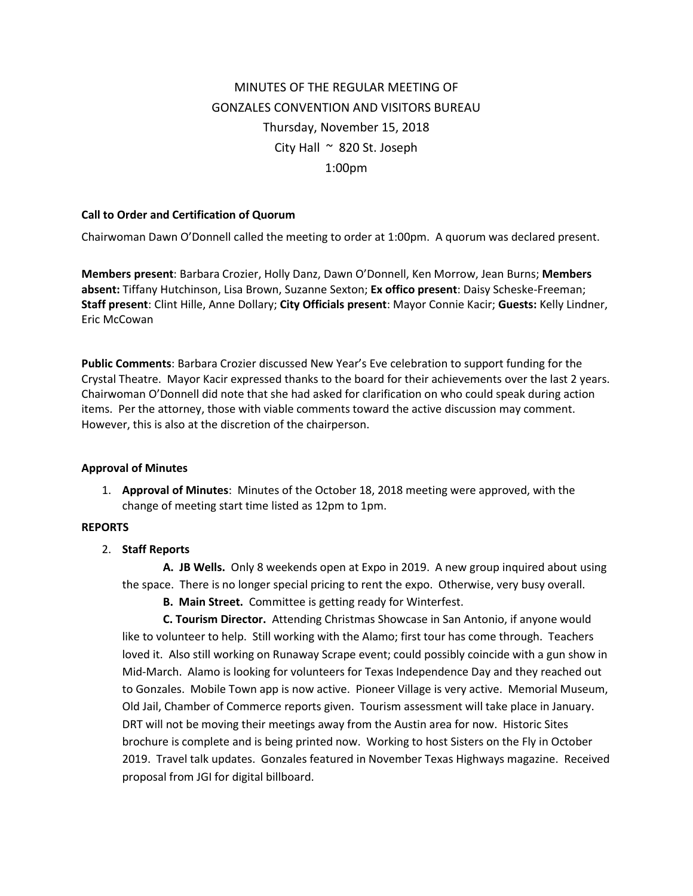# MINUTES OF THE REGULAR MEETING OF GONZALES CONVENTION AND VISITORS BUREAU Thursday, November 15, 2018 City Hall  $\sim$  820 St. Joseph 1:00pm

## **Call to Order and Certification of Quorum**

Chairwoman Dawn O'Donnell called the meeting to order at 1:00pm. A quorum was declared present.

**Members present**: Barbara Crozier, Holly Danz, Dawn O'Donnell, Ken Morrow, Jean Burns; **Members absent:** Tiffany Hutchinson, Lisa Brown, Suzanne Sexton; **Ex offico present**: Daisy Scheske-Freeman; **Staff present**: Clint Hille, Anne Dollary; **City Officials present**: Mayor Connie Kacir; **Guests:** Kelly Lindner, Eric McCowan

**Public Comments**: Barbara Crozier discussed New Year's Eve celebration to support funding for the Crystal Theatre. Mayor Kacir expressed thanks to the board for their achievements over the last 2 years. Chairwoman O'Donnell did note that she had asked for clarification on who could speak during action items. Per the attorney, those with viable comments toward the active discussion may comment. However, this is also at the discretion of the chairperson.

#### **Approval of Minutes**

1. **Approval of Minutes**: Minutes of the October 18, 2018 meeting were approved, with the change of meeting start time listed as 12pm to 1pm.

#### **REPORTS**

2. **Staff Reports**

**A. JB Wells.** Only 8 weekends open at Expo in 2019. A new group inquired about using the space. There is no longer special pricing to rent the expo. Otherwise, very busy overall.

**B. Main Street.** Committee is getting ready for Winterfest.

**C. Tourism Director.** Attending Christmas Showcase in San Antonio, if anyone would like to volunteer to help. Still working with the Alamo; first tour has come through. Teachers loved it. Also still working on Runaway Scrape event; could possibly coincide with a gun show in Mid-March. Alamo is looking for volunteers for Texas Independence Day and they reached out to Gonzales. Mobile Town app is now active. Pioneer Village is very active. Memorial Museum, Old Jail, Chamber of Commerce reports given. Tourism assessment will take place in January. DRT will not be moving their meetings away from the Austin area for now. Historic Sites brochure is complete and is being printed now. Working to host Sisters on the Fly in October 2019. Travel talk updates. Gonzales featured in November Texas Highways magazine. Received proposal from JGI for digital billboard.